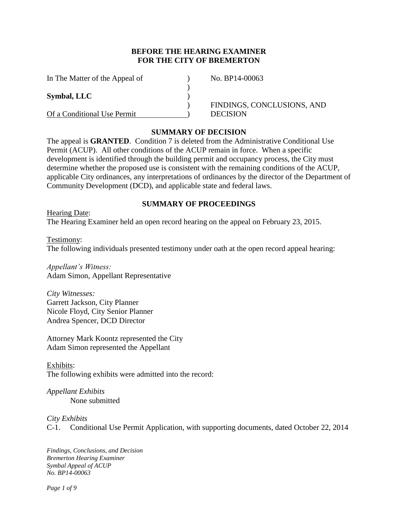# **BEFORE THE HEARING EXAMINER FOR THE CITY OF BREMERTON**

| In The Matter of the Appeal of | No. BP14-00063             |
|--------------------------------|----------------------------|
|                                |                            |
| Symbal, LLC                    |                            |
|                                | FINDINGS, CONCLUSIONS, AND |
| Of a Conditional Use Permit    | <b>DECISION</b>            |

#### **SUMMARY OF DECISION**

The appeal is **GRANTED**. Condition 7 is deleted from the Administrative Conditional Use Permit (ACUP). All other conditions of the ACUP remain in force. When a specific development is identified through the building permit and occupancy process, the City must determine whether the proposed use is consistent with the remaining conditions of the ACUP, applicable City ordinances, any interpretations of ordinances by the director of the Department of Community Development (DCD), and applicable state and federal laws.

### **SUMMARY OF PROCEEDINGS**

Hearing Date: The Hearing Examiner held an open record hearing on the appeal on February 23, 2015.

Testimony: The following individuals presented testimony under oath at the open record appeal hearing:

*Appellant's Witness:* Adam Simon, Appellant Representative

*City Witnesses:* Garrett Jackson, City Planner Nicole Floyd, City Senior Planner Andrea Spencer, DCD Director

Attorney Mark Koontz represented the City Adam Simon represented the Appellant

Exhibits: The following exhibits were admitted into the record:

*Appellant Exhibits* None submitted

*City Exhibits* 

C-1. Conditional Use Permit Application, with supporting documents, dated October 22, 2014

*Findings, Conclusions, and Decision Bremerton Hearing Examiner Symbal Appeal of ACUP No. BP14-00063*

*Page 1 of 9*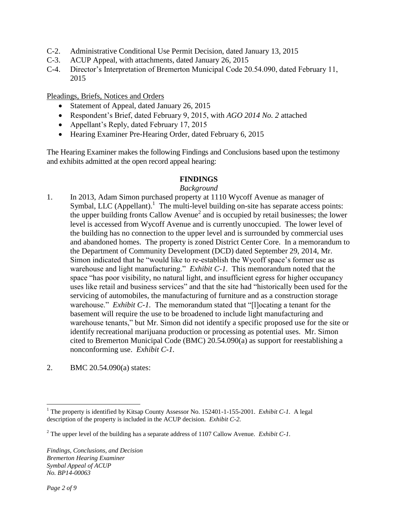- C-2. Administrative Conditional Use Permit Decision, dated January 13, 2015
- C-3. ACUP Appeal, with attachments, dated January 26, 2015
- C-4. Director's Interpretation of Bremerton Municipal Code 20.54.090, dated February 11, 2015

Pleadings, Briefs, Notices and Orders

- Statement of Appeal, dated January 26, 2015
- Respondent's Brief, dated February 9, 2015, with *AGO 2014 No. 2* attached
- Appellant's Reply, dated February 17, 2015
- Hearing Examiner Pre-Hearing Order, dated February 6, 2015

The Hearing Examiner makes the following Findings and Conclusions based upon the testimony and exhibits admitted at the open record appeal hearing:

# **FINDINGS**

# *Background*

- 1. In 2013, Adam Simon purchased property at 1110 Wycoff Avenue as manager of Symbal, LLC (Appellant).<sup>1</sup> The multi-level building on-site has separate access points: the upper building fronts Callow Avenue<sup>2</sup> and is occupied by retail businesses; the lower level is accessed from Wycoff Avenue and is currently unoccupied. The lower level of the building has no connection to the upper level and is surrounded by commercial uses and abandoned homes. The property is zoned District Center Core. In a memorandum to the Department of Community Development (DCD) dated September 29, 2014, Mr. Simon indicated that he "would like to re-establish the Wycoff space's former use as warehouse and light manufacturing." *Exhibit C-1.* This memorandum noted that the space "has poor visibility, no natural light, and insufficient egress for higher occupancy uses like retail and business services" and that the site had "historically been used for the servicing of automobiles, the manufacturing of furniture and as a construction storage warehouse." *Exhibit C-1*. The memorandum stated that "[I] ocating a tenant for the basement will require the use to be broadened to include light manufacturing and warehouse tenants," but Mr. Simon did not identify a specific proposed use for the site or identify recreational marijuana production or processing as potential uses. Mr. Simon cited to Bremerton Municipal Code (BMC) 20.54.090(a) as support for reestablishing a nonconforming use. *Exhibit C-1.*
- 2. BMC 20.54.090(a) states:

 $\overline{a}$ <sup>1</sup> The property is identified by Kitsap County Assessor No. 152401-1-155-2001. *Exhibit C-1*. A legal description of the property is included in the ACUP decision. *Exhibit C-2.*

<sup>2</sup> The upper level of the building has a separate address of 1107 Callow Avenue. *Exhibit C-1.*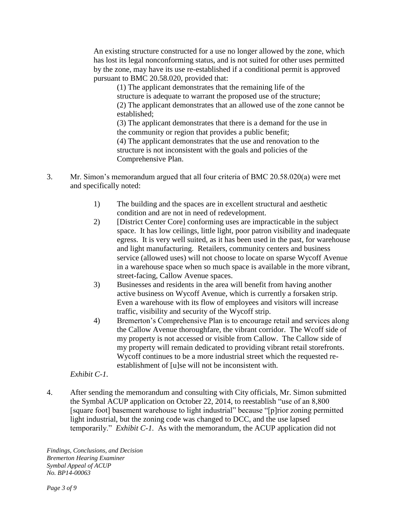An existing structure constructed for a use no longer allowed by the zone, which has lost its legal nonconforming status, and is not suited for other uses permitted by the zone, may have its use re-established if a conditional permit is approved pursuant to BMC 20.58.020, provided that:

(1) The applicant demonstrates that the remaining life of the structure is adequate to warrant the proposed use of the structure; (2) The applicant demonstrates that an allowed use of the zone cannot be established;

(3) The applicant demonstrates that there is a demand for the use in the community or region that provides a public benefit;

(4) The applicant demonstrates that the use and renovation to the structure is not inconsistent with the goals and policies of the Comprehensive Plan.

- 3. Mr. Simon's memorandum argued that all four criteria of BMC 20.58.020(a) were met and specifically noted:
	- 1) The building and the spaces are in excellent structural and aesthetic condition and are not in need of redevelopment.
	- 2) [District Center Core] conforming uses are impracticable in the subject space. It has low ceilings, little light, poor patron visibility and inadequate egress. It is very well suited, as it has been used in the past, for warehouse and light manufacturing. Retailers, community centers and business service (allowed uses) will not choose to locate on sparse Wycoff Avenue in a warehouse space when so much space is available in the more vibrant, street-facing, Callow Avenue spaces.
	- 3) Businesses and residents in the area will benefit from having another active business on Wycoff Avenue, which is currently a forsaken strip. Even a warehouse with its flow of employees and visitors will increase traffic, visibility and security of the Wycoff strip.
	- 4) Bremerton's Comprehensive Plan is to encourage retail and services along the Callow Avenue thoroughfare, the vibrant corridor. The Wcoff side of my property is not accessed or visible from Callow. The Callow side of my property will remain dedicated to providing vibrant retail storefronts. Wycoff continues to be a more industrial street which the requested reestablishment of [u]se will not be inconsistent with.

# *Exhibit C-1.*

4. After sending the memorandum and consulting with City officials, Mr. Simon submitted the Symbal ACUP application on October 22, 2014, to reestablish "use of an 8,800 [square foot] basement warehouse to light industrial" because "[p]rior zoning permitted light industrial, but the zoning code was changed to DCC, and the use lapsed temporarily." *Exhibit C-1.* As with the memorandum, the ACUP application did not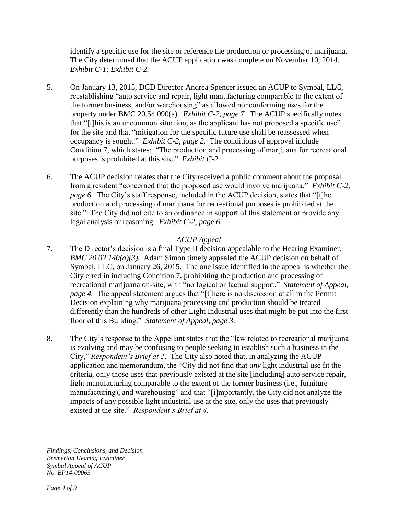identify a specific use for the site or reference the production or processing of marijuana. The City determined that the ACUP application was complete on November 10, 2014. *Exhibit C-1; Exhibit C-2.*

- 5. On January 13, 2015, DCD Director Andrea Spencer issued an ACUP to Symbal, LLC, reestablishing "auto service and repair, light manufacturing comparable to the extent of the former business, and/or warehousing" as allowed nonconforming uses for the property under BMC 20.54.090(a). *Exhibit C-2, page 7.* The ACUP specifically notes that "[t]his is an uncommon situation, as the applicant has not proposed a specific use" for the site and that "mitigation for the specific future use shall be reassessed when occupancy is sought." *Exhibit C-2, page 2.* The conditions of approval include Condition 7, which states: "The production and processing of marijuana for recreational purposes is prohibited at this site." *Exhibit C-2.*
- 6. The ACUP decision relates that the City received a public comment about the proposal from a resident "concerned that the proposed use would involve marijuana." *Exhibit C-2, page 6.* The City's staff response, included in the ACUP decision, states that "[t]he production and processing of marijuana for recreational purposes is prohibited at the site." The City did not cite to an ordinance in support of this statement or provide any legal analysis or reasoning. *Exhibit C-2, page 6.*

# *ACUP Appeal*

- 7. The Director's decision is a final Type II decision appealable to the Hearing Examiner*. BMC 20.02.140(a)(3).* Adam Simon timely appealed the ACUP decision on behalf of Symbal, LLC, on January 26, 2015. The one issue identified in the appeal is whether the City erred in including Condition 7, prohibiting the production and processing of recreational marijuana on-site, with "no logical or factual support." *Statement of Appeal, page 4.* The appeal statement argues that "[t]here is no discussion at all in the Permit Decision explaining why marijuana processing and production should be treated differently than the hundreds of other Light Industrial uses that might be put into the first floor of this Building." *Statement of Appeal, page 3.*
- 8. The City's response to the Appellant states that the "law related to recreational marijuana is evolving and may be confusing to people seeking to establish such a business in the City," *Respondent's Brief at 2*. The City also noted that, in analyzing the ACUP application and memorandum, the "City did not find that *any* light industrial use fit the criteria, only those uses that previously existed at the site [including] auto service repair, light manufacturing comparable to the extent of the former business (i.e., furniture manufacturing), and warehousing" and that "[i]mportantly, the City did not analyze the impacts of any possible light industrial use at the site, only the uses that previously existed at the site." *Respondent's Brief at 4.*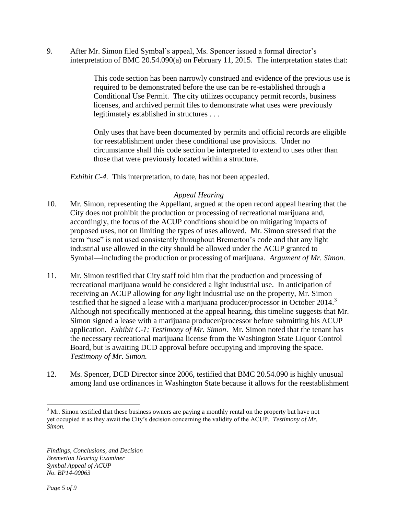9. After Mr. Simon filed Symbal's appeal, Ms. Spencer issued a formal director's interpretation of BMC 20.54.090(a) on February 11, 2015. The interpretation states that:

> This code section has been narrowly construed and evidence of the previous use is required to be demonstrated before the use can be re-established through a Conditional Use Permit. The city utilizes occupancy permit records, business licenses, and archived permit files to demonstrate what uses were previously legitimately established in structures . . .

Only uses that have been documented by permits and official records are eligible for reestablishment under these conditional use provisions. Under no circumstance shall this code section be interpreted to extend to uses other than those that were previously located within a structure.

*Exhibit C-4.* This interpretation, to date, has not been appealed.

# *Appeal Hearing*

- 10. Mr. Simon, representing the Appellant, argued at the open record appeal hearing that the City does not prohibit the production or processing of recreational marijuana and, accordingly, the focus of the ACUP conditions should be on mitigating impacts of proposed uses, not on limiting the types of uses allowed. Mr. Simon stressed that the term "use" is not used consistently throughout Bremerton's code and that any light industrial use allowed in the city should be allowed under the ACUP granted to Symbal—including the production or processing of marijuana. *Argument of Mr. Simon.*
- 11. Mr. Simon testified that City staff told him that the production and processing of recreational marijuana would be considered a light industrial use. In anticipation of receiving an ACUP allowing for *any* light industrial use on the property, Mr. Simon testified that he signed a lease with a marijuana producer/processor in October 2014.<sup>3</sup> Although not specifically mentioned at the appeal hearing, this timeline suggests that Mr. Simon signed a lease with a marijuana producer/processor before submitting his ACUP application. *Exhibit C-1; Testimony of Mr. Simon*. Mr. Simon noted that the tenant has the necessary recreational marijuana license from the Washington State Liquor Control Board, but is awaiting DCD approval before occupying and improving the space. *Testimony of Mr. Simon.*
- 12. Ms. Spencer, DCD Director since 2006, testified that BMC 20.54.090 is highly unusual among land use ordinances in Washington State because it allows for the reestablishment

 $\overline{a}$ 

 $3<sup>3</sup>$  Mr. Simon testified that these business owners are paying a monthly rental on the property but have not yet occupied it as they await the City's decision concerning the validity of the ACUP. *Testimony of Mr. Simon.*

*Findings, Conclusions, and Decision Bremerton Hearing Examiner Symbal Appeal of ACUP No. BP14-00063*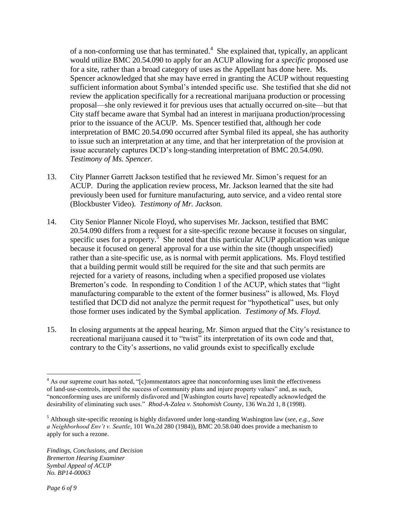of a non-conforming use that has terminated. $4$  She explained that, typically, an applicant would utilize BMC 20.54.090 to apply for an ACUP allowing for a *specific* proposed use for a site, rather than a broad category of uses as the Appellant has done here. Ms. Spencer acknowledged that she may have erred in granting the ACUP without requesting sufficient information about Symbal's intended specific use. She testified that she did not review the application specifically for a recreational marijuana production or processing proposal—she only reviewed it for previous uses that actually occurred on-site—but that City staff became aware that Symbal had an interest in marijuana production/processing prior to the issuance of the ACUP. Ms. Spencer testified that, although her code interpretation of BMC 20.54.090 occurred after Symbal filed its appeal, she has authority to issue such an interpretation at any time, and that her interpretation of the provision at issue accurately captures DCD's long-standing interpretation of BMC 20.54.090. *Testimony of Ms. Spencer.* 

- 13. City Planner Garrett Jackson testified that he reviewed Mr. Simon's request for an ACUP. During the application review process, Mr. Jackson learned that the site had previously been used for furniture manufacturing, auto service, and a video rental store (Blockbuster Video). *Testimony of Mr. Jackson.*
- 14. City Senior Planner Nicole Floyd, who supervises Mr. Jackson, testified that BMC 20.54.090 differs from a request for a site-specific rezone because it focuses on singular, specific uses for a property.<sup>5</sup> She noted that this particular ACUP application was unique because it focused on general approval for a use within the site (though unspecified) rather than a site-specific use, as is normal with permit applications. Ms. Floyd testified that a building permit would still be required for the site and that such permits are rejected for a variety of reasons, including when a specified proposed use violates Bremerton's code. In responding to Condition 1 of the ACUP, which states that "light manufacturing comparable to the extent of the former business" is allowed, Ms. Floyd testified that DCD did not analyze the permit request for "hypothetical" uses, but only those former uses indicated by the Symbal application. *Testimony of Ms. Floyd.*
- 15. In closing arguments at the appeal hearing, Mr. Simon argued that the City's resistance to recreational marijuana caused it to "twist" its interpretation of its own code and that, contrary to the City's assertions, no valid grounds exist to specifically exclude

 $\overline{a}$ 

<sup>&</sup>lt;sup>4</sup> As our supreme court has noted, "[c]ommentators agree that nonconforming uses limit the effectiveness of land-use-controls, imperil the success of community plans and injure property values" and, as such, "nonconforming uses are uniformly disfavored and [Washington courts have] repeatedly acknowledged the desirability of eliminating such uses." *Rhod-A-Zalea v. Snohomish County*, 136 Wn.2d 1, 8 (1998).

<sup>5</sup> Although site-specific rezoning is highly disfavored under long-standing Washington law (*see, e.g., Save a Neighborhood Env't v. Seattle*, 101 Wn.2d 280 (1984)), BMC 20.58.040 does provide a mechanism to apply for such a rezone.

*Findings, Conclusions, and Decision Bremerton Hearing Examiner Symbal Appeal of ACUP No. BP14-00063*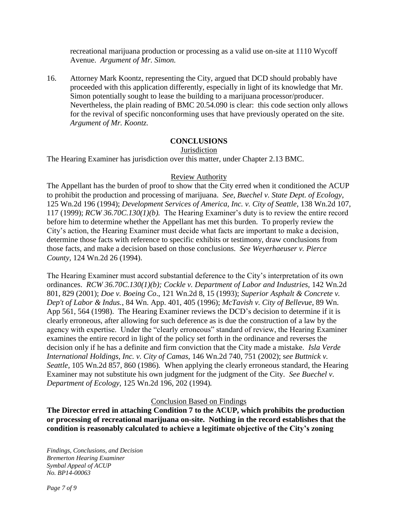recreational marijuana production or processing as a valid use on-site at 1110 Wycoff Avenue. *Argument of Mr. Simon.*

16. Attorney Mark Koontz, representing the City, argued that DCD should probably have proceeded with this application differently, especially in light of its knowledge that Mr. Simon potentially sought to lease the building to a marijuana processor/producer. Nevertheless, the plain reading of BMC 20.54.090 is clear: this code section only allows for the revival of specific nonconforming uses that have previously operated on the site. *Argument of Mr. Koontz.*

# **CONCLUSIONS**

### Jurisdiction

The Hearing Examiner has jurisdiction over this matter, under Chapter 2.13 BMC.

# Review Authority

The Appellant has the burden of proof to show that the City erred when it conditioned the ACUP to prohibit the production and processing of marijuana. *See, Buechel v. State Dept. of Ecology*, 125 Wn.2d 196 (1994); *Development Services of America, Inc. v. City of Seattle*, 138 Wn.2d 107, 117 (1999); *RCW 36.70C.130(1)(b).* The Hearing Examiner's duty is to review the entire record before him to determine whether the Appellant has met this burden. To properly review the City's action, the Hearing Examiner must decide what facts are important to make a decision, determine those facts with reference to specific exhibits or testimony, draw conclusions from those facts, and make a decision based on those conclusions. *See Weyerhaeuser v. Pierce County,* 124 Wn.2d 26 (1994).

The Hearing Examiner must accord substantial deference to the City's interpretation of its own ordinances. *RCW 36.70C.130(1)(b); Cockle v. Department of Labor and Industries*, 142 Wn.2d 801, 829 (2001); *Doe v. Boeing Co*., 121 Wn.2d 8, 15 (1993); *Superior Asphalt & Concrete v. Dep't of Labor & Indus.*, 84 Wn. App. 401, 405 (1996); *McTavish v. City of Bellevue*, 89 Wn. App 561, 564 (1998). The Hearing Examiner reviews the DCD's decision to determine if it is clearly erroneous, after allowing for such deference as is due the construction of a law by the agency with expertise. Under the "clearly erroneous" standard of review, the Hearing Examiner examines the entire record in light of the policy set forth in the ordinance and reverses the decision only if he has a definite and firm conviction that the City made a mistake. *Isla Verde International Holdings, Inc. v. City of Camas*, 146 Wn.2d 740, 751 (2002); s*ee Buttnick v. Seattle,* 105 Wn.2d 857, 860 (1986)*.* When applying the clearly erroneous standard, the Hearing Examiner may not substitute his own judgment for the judgment of the City. *See Buechel v. Department of Ecology,* 125 Wn.2d 196, 202 (1994)*.*

### Conclusion Based on Findings

**The Director erred in attaching Condition 7 to the ACUP, which prohibits the production or processing of recreational marijuana on-site. Nothing in the record establishes that the condition is reasonably calculated to achieve a legitimate objective of the City's zoning**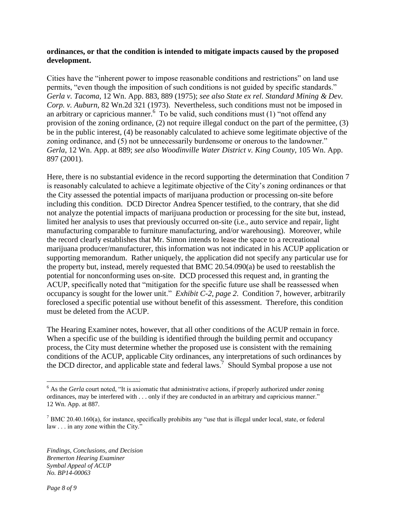### **ordinances, or that the condition is intended to mitigate impacts caused by the proposed development.**

Cities have the "inherent power to impose reasonable conditions and restrictions" on land use permits, "even though the imposition of such conditions is not guided by specific standards." *Gerla v. Tacoma*, 12 Wn. App. 883, 889 (1975); *see also State ex rel. Standard Mining & Dev. Corp. v. Auburn*, 82 Wn.2d 321 (1973). Nevertheless, such conditions must not be imposed in an arbitrary or capricious manner.<sup>6</sup> To be valid, such conditions must (1) "not offend any provision of the zoning ordinance, (2) not require illegal conduct on the part of the permittee, (3) be in the public interest, (4) be reasonably calculated to achieve some legitimate objective of the zoning ordinance, and (5) not be unnecessarily burdensome or onerous to the landowner." *Gerla*, 12 Wn. App. at 889; *see also Woodinville Water District v. King County*, 105 Wn. App. 897 (2001).

Here, there is no substantial evidence in the record supporting the determination that Condition 7 is reasonably calculated to achieve a legitimate objective of the City's zoning ordinances or that the City assessed the potential impacts of marijuana production or processing on-site before including this condition. DCD Director Andrea Spencer testified, to the contrary, that she did not analyze the potential impacts of marijuana production or processing for the site but, instead, limited her analysis to uses that previously occurred on-site (i.e., auto service and repair, light manufacturing comparable to furniture manufacturing, and/or warehousing). Moreover, while the record clearly establishes that Mr. Simon intends to lease the space to a recreational marijuana producer/manufacturer, this information was not indicated in his ACUP application or supporting memorandum. Rather uniquely, the application did not specify any particular use for the property but, instead, merely requested that BMC 20.54.090(a) be used to reestablish the potential for nonconforming uses on-site. DCD processed this request and, in granting the ACUP, specifically noted that "mitigation for the specific future use shall be reassessed when occupancy is sought for the lower unit." *Exhibit C-2, page 2*. Condition 7, however, arbitrarily foreclosed a specific potential use without benefit of this assessment. Therefore, this condition must be deleted from the ACUP.

The Hearing Examiner notes, however, that all other conditions of the ACUP remain in force. When a specific use of the building is identified through the building permit and occupancy process, the City must determine whether the proposed use is consistent with the remaining conditions of the ACUP, applicable City ordinances, any interpretations of such ordinances by the DCD director, and applicable state and federal laws.<sup>7</sup> Should Symbal propose a use not

*Findings, Conclusions, and Decision Bremerton Hearing Examiner Symbal Appeal of ACUP No. BP14-00063*

 $\overline{a}$ 

<sup>&</sup>lt;sup>6</sup> As the *Gerla* court noted, "It is axiomatic that administrative actions, if properly authorized under zoning ordinances, may be interfered with . . . only if they are conducted in an arbitrary and capricious manner." 12 Wn. App. at 887.

 $7$  BMC 20.40.160(a), for instance, specifically prohibits any "use that is illegal under local, state, or federal law . . . in any zone within the City."